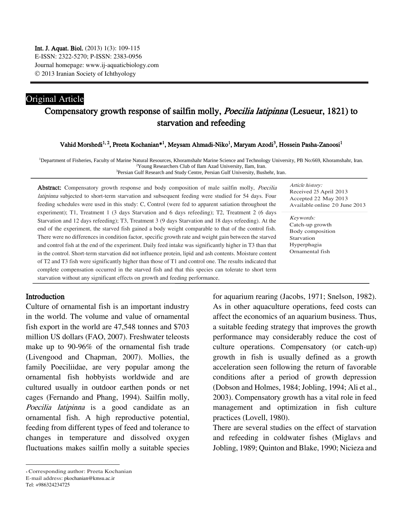# Original Article

# Compensatory growth response of sailfin molly, Poecilia latipinna (Lesueur, 1821) to starvation and refeeding

Vahid Morshedi<sup>1, 2</sup>, Preeta Kochanian\*<sup>1</sup>, Meysam Ahmadi-Niko<sup>1</sup>, Maryam Azodi<sup>3</sup>, Hossein Pasha-Zanoosi<sup>1</sup>

<sup>1</sup>Department of Fisheries, Faculty of Marine Natural Resources, Khoramshahr Marine Science and Technology University, PB No:669, Khoramshahr, Iran. <sup>2</sup>Young Researchers Club of Ilam Azad University, Ilam, Iran.

<sup>3</sup>Persian Gulf Research and Study Centre, Persian Gulf University, Bushehr, Iran.

Abstract: Compensatory growth response and body composition of male sailfin molly, *Poecilia* latipinna subjected to short-term starvation and subsequent feeding were studied for 54 days. Four feeding schedules were used in this study: C, Control (were fed to apparent satiation throughout the experiment); T1, Treatment 1 (3 days Starvation and 6 days refeeding); T2, Treatment 2 (6 days Starvation and 12 days refeeding); T3, Treatment 3 (9 days Starvation and 18 days refeeding). At the end of the experiment, the starved fish gained a body weight comparable to that of the control fish. There were no differences in condition factor, specific growth rate and weight gain between the starved and control fish at the end of the experiment. Daily feed intake was significantly higher in T3 than that in the control. Short-term starvation did not influence protein, lipid and ash contents. Moisture content of T2 and T3 fish were significantly higher than those of T1 and control one. The results indicated that complete compensation occurred in the starved fish and that this species can tolerate to short term starvation without any significant effects on growth and feeding performance.

Article history: Received 25 April 2013 Article history:<br>Received 25 April 2013<br>Accepted 22 May 2013<br>Available online 20 Jur Accepted 22 May 2013<br>Available online 20 June 2013

Keywords: Catch-up growth Body composition Starvation Hyperphagia Ornamental fish

## Introduction

Culture of ornamental fish is an important industry in the world. The volume and value of ornamental fish export in the world are 47,548 tonnes and \$703 million US dollars (FAO, 2007). Freshwater teleosts make up to 90-96% of the ornamental fish trade (Livengood and Chapman, 2007). Mollies, the family Poeciliidae, are very popular among the ornamental fish hobbyists worldwide and are cultured usually in outdoor earthen ponds or net cages (Fernando and Phang, 1994). Sailfin molly, Poecilia latipinna is a good candidate as an ornamental fish. A high reproductive potential, feeding from different types of feed and tolerance to changes in temperature and dissolved oxygen fluctuations makes sailfin molly a suitable species

There are several studies on the effect of starvation and refeeding in coldwater fishes (Miglavs and Jobling, 1989; Quinton and Blake, 1990; Nicieza and

 $\ddot{\phantom{a}}$ 

for aquarium rearing (Jacobs, 1971; Snelson, 1982). As in other aquaculture operations, feed costs can affect the economics of an aquarium business. Thus, a suitable feeding strategy that improves the growth performance may considerably reduce the cost of culture operations. Compensatory (or catch-up) growth in fish is usually defined as a growth acceleration seen following the return of favorable conditions after a period of growth depression (Dobson and Holmes, 1984; Jobling, 1994; Ali et al., 2003). Compensatory growth has a vital role in feed management and optimization in fish culture practices (Lovell, 1980).

<sup>\*</sup> Corresponding author: Preeta Kochanian

E-mail address: pkochanian@kmsu.ac.ir

Tel: +986324234725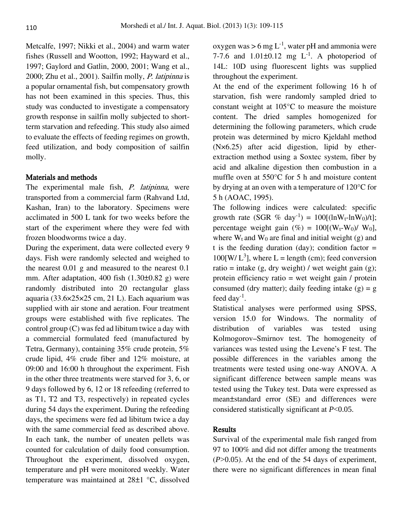Metcalfe, 1997; Nikki et al., 2004) and warm water fishes (Russell and Wootton, 1992; Hayward et al., 1997; Gaylord and Gatlin, 2000, 2001; Wang et al., 2000; Zhu et al., 2001). Sailfin molly, P. latipinna is a popular ornamental fish, but compensatory growth has not been examined in this species. Thus, this study was conducted to investigate a compensatory growth response in sailfin molly subjected to shortterm starvation and refeeding. This study also aimed to evaluate the effects of feeding regimes on growth, feed utilization, and body composition of sailfin molly.

#### Materials and methods

The experimental male fish, *P. latipinna*, were transported from a commercial farm (Rahvand Ltd, Kashan, Iran) to the laboratory. Specimens were acclimated in 500 L tank for two weeks before the start of the experiment where they were fed with frozen bloodworms twice a day.

During the experiment, data were collected every 9 days. Fish were randomly selected and weighed to the nearest 0.01 g and measured to the nearest 0.1 mm. After adaptation, 400 fish (1.30±0.82 g) were randomly distributed into 20 rectangular glass aquaria (33.6×25×25 cm, 21 L). Each aquarium was supplied with air stone and aeration. Four treatment groups were established with five replicates. The control group (C) was fed ad libitum twice a day with a commercial formulated feed (manufactured by Tetra, Germany), containing 35% crude protein, 5% crude lipid, 4% crude fiber and 12% moisture, at 09:00 and 16:00 h throughout the experiment. Fish in the other three treatments were starved for 3, 6, or 9 days followed by 6, 12 or 18 refeeding (referred to as T1, T2 and T3, respectively) in repeated cycles during 54 days the experiment. During the refeeding days, the specimens were fed ad libitum twice a day with the same commercial feed as described above. In each tank, the number of uneaten pellets was counted for calculation of daily food consumption. Throughout the experiment, dissolved oxygen, temperature and pH were monitored weekly. Water temperature was maintained at 28±1 °C, dissolved

oxygen was  $> 6$  mg L<sup>-1</sup>, water pH and ammonia were 7-7.6 and  $1.01\pm0.12$  mg L<sup>-1</sup>. A photoperiod of 14L: 10D using fluorescent lights was supplied throughout the experiment.

At the end of the experiment following 16 h of starvation, fish were randomly sampled dried to constant weight at 105°C to measure the moisture content. The dried samples homogenized for determining the following parameters, which crude protein was determined by micro Kjeldahl method (N×6.25) after acid digestion, lipid by etherextraction method using a Soxtec system, fiber by acid and alkaline digestion then combustion in a muffle oven at 550°C for 5 h and moisture content by drying at an oven with a temperature of 120°C for 5 h (AOAC, 1995).

The following indices were calculated: specific growth rate (SGR % day<sup>-1</sup>) =  $100[(\ln W_t - \ln W_0)/t]$ ; percentage weight gain  $(\%) = 100[(W_t-W_0)/W_0]$ , where  $W_t$  and  $W_0$  are final and initial weight (g) and t is the feeding duration (day); condition factor  $=$  $100 \text{ [W/ L}^3]$ , where L = length (cm); feed conversion ratio = intake  $(g, dry weight) / wet weight gain(g);$ protein efficiency ratio = wet weight gain / protein consumed (dry matter); daily feeding intake  $(g) = g$ feed day $^{-1}$ .

Statistical analyses were performed using SPSS, version 15.0 for Windows. The normality of distribution of variables was tested using Kolmogorov–Smirnov test. The homogeneity of variances was tested using the Levene's F test. The possible differences in the variables among the treatments were tested using one-way ANOVA. A significant difference between sample means was tested using the Tukey test. Data were expressed as mean±standard error (SE) and differences were considered statistically significant at *P*<0.05.

#### **Results**

Survival of the experimental male fish ranged from 97 to 100% and did not differ among the treatments (*P*>0.05). At the end of the 54 days of experiment, there were no significant differences in mean final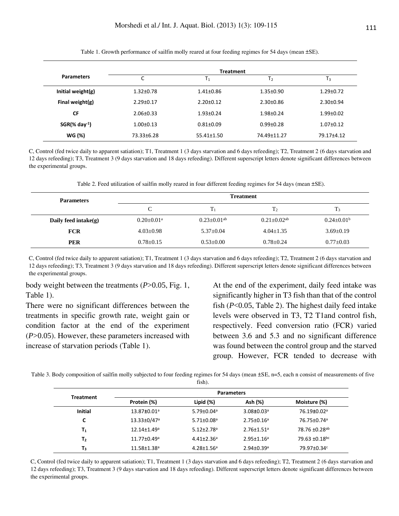|                              | <b>Treatment</b> |                  |                 |                 |  |
|------------------------------|------------------|------------------|-----------------|-----------------|--|
| <b>Parameters</b>            | ◠                | Τ,               | T <sub>2</sub>  | 1 <sub>3</sub>  |  |
| Initial weight $(g)$         | $1.32 \pm 0.78$  | $1.41 \pm 0.86$  | $1.35 \pm 0.90$ | $1.29 + 0.72$   |  |
| Final weight $(g)$           | $2.29 \pm 0.17$  | $2.20 \pm 0.12$  | $2.30+0.86$     | $2.30+0.94$     |  |
| <b>CF</b>                    | $2.06 \pm 0.33$  | $1.93 \pm 0.24$  | $1.98 + 0.24$   | $1.99 + 0.02$   |  |
| $SGR$ (% day <sup>-1</sup> ) | $1.00+0.13$      | $0.81 \pm 0.09$  | $0.99 + 0.28$   | $1.07 \pm 0.12$ |  |
| WG (%)                       | 73.33±6.28       | $55.41 \pm 1.50$ | 74.49±11.27     | 79.17±4.12      |  |

Table 1. Growth performance of sailfin molly reared at four feeding regimes for 54 days (mean ±SE).

C, Control (fed twice daily to apparent satiation); T1, Treatment 1 (3 days starvation and 6 days refeeding); T2, Treatment 2 (6 days starvation and 12 days refeeding); T3, Treatment 3 (9 days starvation and 18 days refeeding). Different superscript letters denote significant differences between the experimental groups.

Table 2. Feed utilization of sailfin molly reared in four different feeding regimes for 54 days (mean  $\pm$ SE).

| <b>Parameters</b>     | <b>Treatment</b> |                               |                               |                   |
|-----------------------|------------------|-------------------------------|-------------------------------|-------------------|
|                       | C                | $T_1$                         | T <sub>2</sub>                | T <sub>3</sub>    |
| Daily feed in take(g) | $0.20+0.01a$     | $0.23 \pm 0.01$ <sup>ab</sup> | $0.21 \pm 0.02$ <sup>ab</sup> | $0.24 \pm 0.01^b$ |
| <b>FCR</b>            | $4.03 \pm 0.98$  | $5.37+0.04$                   | $4.04 + 1.35$                 | $3.69 \pm 0.19$   |
| <b>PER</b>            | $0.78 \pm 0.15$  | $0.53 \pm 0.00$               | $0.78 + 0.24$                 | $0.77 \pm 0.03$   |

C, Control (fed twice daily to apparent satiation); T1, Treatment 1 (3 days starvation and 6 days refeeding); T2, Treatment 2 (6 days starvation and 12 days refeeding); T3, Treatment 3 (9 days starvation and 18 days refeeding). Different superscript letters denote significant differences between the experimental groups.

body weight between the treatments (*P*>0.05, Fig. 1, Table 1).

There were no significant differences between the treatments in specific growth rate, weight gain or condition factor at the end of the experiment (*P*>0.05). However, these parameters increased with increase of starvation periods (Table 1).

At the end of the experiment, daily feed intake was significantly higher in T3 fish than that of the control fish (*P*<0.05, Table 2). The highest daily feed intake levels were observed in T3, T2 T1and control fish, respectively. Feed conversion ratio (FCR) varied between 3.6 and 5.3 and no significant difference was found between the control group and the starved group. However, FCR tended to decrease with

Table 3. Body composition of sailfin molly subjected to four feeding regimes for 54 days (mean ±SE, n=5, each n consist of measurements of five fish).

| <b>Treatment</b> |                               | <b>Parameters</b>            |                              |                                |  |  |
|------------------|-------------------------------|------------------------------|------------------------------|--------------------------------|--|--|
|                  | Protein (%)                   | Lipid $(\%)$                 | Ash (%)                      | Moisture (%)                   |  |  |
| <b>Initial</b>   | $13.87 \pm 0.01$ <sup>a</sup> | $5.79 \pm 0.04$ <sup>a</sup> | $3.08 \pm 0.03$ <sup>a</sup> | 76.19±0.02 <sup>a</sup>        |  |  |
| L                | $13.33 \pm 0/47$ <sup>a</sup> | $5.71 \pm 0.08$ <sup>a</sup> | $2.75 \pm 0.16^a$            | 76.75±0.74ª                    |  |  |
| $\mathsf{T}_1$   | $12.14 \pm 1.49$ <sup>a</sup> | $5.12 \pm 2.78$ <sup>a</sup> | $2.76 \pm 1.51$ <sup>a</sup> | 78.76 ±0.28 <sup>ab</sup>      |  |  |
| Т2               | $11.77 \pm 0.49$ <sup>a</sup> | $4.41 \pm 2.36$ <sup>a</sup> | $2.95 \pm 1.16^a$            | 79.63 $\pm$ 0.18 <sup>bc</sup> |  |  |
| T3               | $11.58 \pm 1.38$ <sup>a</sup> | $4.28 \pm 1.56$ <sup>a</sup> | $2.94 \pm 0.39$ <sup>a</sup> | 79.97±0.34 <sup>c</sup>        |  |  |

C, Control (fed twice daily to apparent satiation); T1, Treatment 1 (3 days starvation and 6 days refeeding); T2, Treatment 2 (6 days starvation and 12 days refeeding); T3, Treatment 3 (9 days starvation and 18 days refeeding). Different superscript letters denote significant differences between the experimental groups.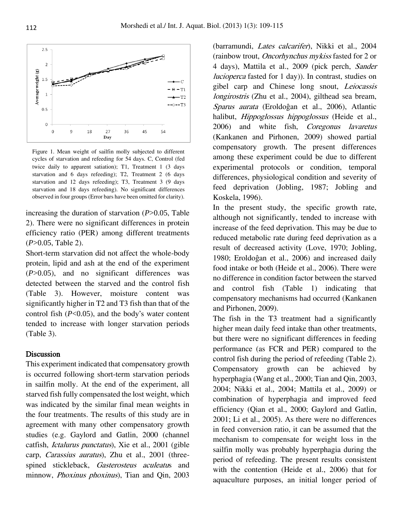

Figure 1. Mean weight of sailfin molly subjected to different cycles of starvation and refeeding for 54 days. C, Control (fed twice daily to apparent satiation); T1, Treatment 1 (3 days starvation and 6 days refeeding); T2, Treatment 2 (6 days starvation and 12 days refeeding); T3, Treatment 3 (9 days starvation and 18 days refeeding). No significant differences observed in four groups (Error bars have been omitted for clarity).

increasing the duration of starvation (*P*>0.05, Table 2). There were no significant differences in protein efficiency ratio (PER) among different treatments (*P*>0.05, Table 2).

Short-term starvation did not affect the whole-body protein, lipid and ash at the end of the experiment (*P*>0.05), and no significant differences was detected between the starved and the control fish (Table 3). However, moisture content was significantly higher in T2 and T3 fish than that of the control fish (*P*<0.05), and the body's water content tended to increase with longer starvation periods (Table 3).

#### **Discussion**

This experiment indicated that compensatory growth is occurred following short-term starvation periods in sailfin molly. At the end of the experiment, all starved fish fully compensated the lost weight, which was indicated by the similar final mean weights in the four treatments. The results of this study are in agreement with many other compensatory growth studies (e.g. Gaylord and Gatlin, 2000 (channel catfish, Ictalurus punctatus), Xie et al., 2001 (gible carp, Carassius auratus), Zhu et al., 2001 (threespined stickleback, Gasterosteus aculeatus and minnow, Phoxinus phoxinus), Tian and Qin, 2003

(barramundi, Lates calcarifer), Nikki et al., 2004 (rainbow trout, Oncorhynchus mykiss fasted for 2 or 4 days), Mattila et al., 2009 (pick perch, Sander lucioperca fasted for 1 day)). In contrast, studies on gibel carp and Chinese long snout, Leiocassis longirostris (Zhu et al., 2004), gilthead sea bream, Sparus aurata (Eroldoĝan et al., 2006), Atlantic halibut, *Hippoglossus hippoglossus* (Heide et al., 2006) and white fish, Coregonus lavaretus (Kankanen and Pirhonen, 2009) showed partial compensatory growth. The present differences among these experiment could be due to different experimental protocols or condition, temporal differences, physiological condition and severity of feed deprivation (Jobling, 1987; Jobling and Koskela, 1996).

In the present study, the specific growth rate, although not significantly, tended to increase with increase of the feed deprivation. This may be due to reduced metabolic rate during feed deprivation as a result of decreased activity (Love, 1970; Jobling, 1980; Eroldoĝan et al., 2006) and increased daily food intake or both (Heide et al., 2006). There were no difference in condition factor between the starved and control fish (Table 1) indicating that compensatory mechanisms had occurred (Kankanen and Pirhonen, 2009).

The fish in the T3 treatment had a significantly higher mean daily feed intake than other treatments, but there were no significant differences in feeding performance (as FCR and PER) compared to the control fish during the period of refeeding (Table 2). Compensatory growth can be achieved by hyperphagia (Wang et al., 2000; Tian and Qin, 2003, 2004; Nikki et al., 2004; Mattila et al., 2009) or combination of hyperphagia and improved feed efficiency (Qian et al., 2000; Gaylord and Gatlin, 2001; Li et al., 2005). As there were no differences in feed conversion ratio, it can be assumed that the mechanism to compensate for weight loss in the sailfin molly was probably hyperphagia during the period of refeeding. The present results consistent with the contention (Heide et al., 2006) that for aquaculture purposes, an initial longer period of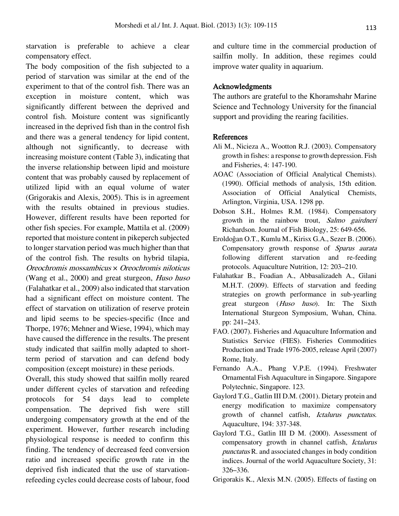starvation is preferable to achieve a clear compensatory effect.

The body composition of the fish subjected to a period of starvation was similar at the end of the experiment to that of the control fish. There was an exception in moisture content, which was significantly different between the deprived and control fish. Moisture content was significantly increased in the deprived fish than in the control fish and there was a general tendency for lipid content, although not significantly, to decrease with increasing moisture content (Table 3), indicating that the inverse relationship between lipid and moisture content that was probably caused by replacement of utilized lipid with an equal volume of water (Grigorakis and Alexis, 2005). This is in agreement with the results obtained in previous studies. However, different results have been reported for other fish species. For example, Mattila et al. (2009) reported that moisture content in pikeperch subjected to longer starvation period was much higher than that of the control fish. The results on hybrid tilapia, Oreochromis mossambicus × Oreochromis niloticus (Wang et al., 2000) and great sturgeon, *Huso huso* (Falahatkar et al., 2009) also indicated that starvation had a significant effect on moisture content. The effect of starvation on utilization of reserve protein and lipid seems to be species-specific (Ince and Thorpe, 1976; Mehner and Wiese, 1994), which may have caused the difference in the results. The present study indicated that sailfin molly adapted to shortterm period of starvation and can defend body composition (except moisture) in these periods.

Overall, this study showed that sailfin molly reared under different cycles of starvation and refeeding protocols for 54 days lead to complete compensation. The deprived fish were still undergoing compensatory growth at the end of the experiment. However, further research including physiological response is needed to confirm this finding. The tendency of decreased feed conversion ratio and increased specific growth rate in the deprived fish indicated that the use of starvationrefeeding cycles could decrease costs of labour, food and culture time in the commercial production of sailfin molly. In addition, these regimes could improve water quality in aquarium.

### Acknowledgments

The authors are grateful to the Khoramshahr Marine Science and Technology University for the financial support and providing the rearing facilities.

#### References

- Ali M., Nicieza A., Wootton R.J. (2003). Compensatory growth in fishes: a response to growth depression. Fish and Fisheries, 4: 147-190.
- AOAC (Association of Official Analytical Chemists). (1990). Official methods of analysis, 15th edition. Association of Official Analytical Chemists, Arlington, Virginia, USA. 1298 pp.
- Dobson S.H., Holmes R.M. (1984). Compensatory growth in the rainbow trout, Salmo gairdneri Richardson. Journal of Fish Biology, 25: 649-656.
- Eroldoĝan O.T., Kumlu M., Kirisx G.A., Sezer B. (2006). Compensatory growth response of Sparus aurata following different starvation and re-feeding protocols. Aquaculture Nutrition, 12: 203–210.
- Falahatkar B., Foadian A., Abbasalizadeh A., Gilani M.H.T. (2009). Effects of starvation and feeding strategies on growth performance in sub-yearling great sturgeon (Huso huso). In: The Sixth International Sturgeon Symposium, Wuhan, China. pp: 241–243.
- FAO. (2007). Fisheries and Aquaculture Information and Statistics Service (FIES). Fisheries Commodities Production and Trade 1976-2005, release April (2007) Rome, Italy.
- Fernando A.A., Phang V.P.E. (1994). Freshwater Ornamental Fish Aquaculture in Singapore. Singapore Polytechnic, Singapore. 123.
- Gaylord T.G., Gatlin III D.M. (2001). Dietary protein and energy modification to maximize compensatory growth of channel catfish, Ictalurus punctatus. Aquaculture, 194: 337-348.
- Gaylord T.G., Gatlin III D M. (2000). Assessment of compensatory growth in channel catfish, Ictalurus punctatus R. and associated changes in body condition indices. Journal of the world Aquaculture Society, 31: 326–336.
- Grigorakis K., Alexis M.N. (2005). Effects of fasting on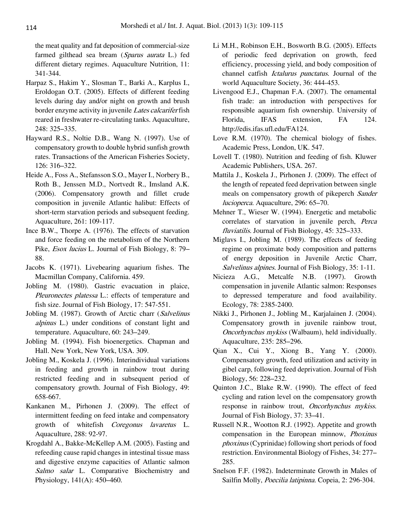the meat quality and fat deposition of commercial-size farmed gilthead sea bream (Sparus aurata L.) fed different dietary regimes. Aquaculture Nutrition, 11: 341-344.

- Harpaz S., Hakim Y., Slosman T., Barki A., Karplus I., Eroldogan O.T. (2005). Effects of different feeding levels during day and/or night on growth and brush border enzyme activity in juvenile Lates calcarifer fish reared in freshwater re-circulating tanks. Aquaculture, 248: 325–335.
- Hayward R.S., Noltie D.B., Wang N. (1997). Use of compensatory growth to double hybrid sunfish growth rates. Transactions of the American Fisheries Society, 126: 316–322.
- Heide A., Foss A., Stefansson S.O., Mayer I., Norbery B., Roth B., Jenssen M.D., Nortvedt R., Imsland A.K. (2006). Compensatory growth and fillet crude composition in juvenile Atlantic halibut: Effects of short-term starvation periods and subsequent feeding. Aquaculture, 261: 109-117.
- Ince B.W., Thorpe A. (1976). The effects of starvation and force feeding on the metabolism of the Northern Pike, Esox lucius L. Journal of Fish Biology, 8: 79– 88.
- Jacobs K. (1971). Livebearing aquarium fishes. The Macmillan Company, California. 459.
- Jobling M. (1980). Gastric evacuation in plaice, Pleuronectes platessa L.: effects of temperature and fish size. Journal of Fish Biology, 17: 547-551.
- Jobling M. (1987). Growth of Arctic charr (Salvelinus alpinus L.) under conditions of constant light and temperature. Aquaculture, 60: 243–249.
- Jobling M. (1994). Fish bioenergetics. Chapman and Hall. New York, New York, USA. 309.
- Jobling M., Koskela J. (1996). Interindividual variations in feeding and growth in rainbow trout during restricted feeding and in subsequent period of compensatory growth. Journal of Fish Biology, 49: 658-667.
- Kankanen M., Pirhonen J. (2009). The effect of intermittent feeding on feed intake and compensatory growth of whitefish Coregonus lavaretus L. Aquaculture, 288: 92-97.
- Krogdahl A., Bakke-McKellep A.M. (2005). Fasting and refeeding cause rapid changes in intestinal tissue mass and digestive enzyme capacities of Atlantic salmon Salmo salar L. Comparative Biochemistry and Physiology, 141(A): 450–460.
- Li M.H., Robinson E.H., Bosworth B.G. (2005). Effects of periodic feed deprivation on growth, feed efficiency, processing yield, and body composition of channel catfish Ictalurus punctatus. Journal of the world Aquaculture Society, 36: 444-453.
- Livengood E.J., Chapman F.A. (2007). The ornamental fish trade: an introduction with perspectives for responsible aquarium fish ownership. University of Florida, IFAS extension, FA 124. http://edis.ifas.ufl.edu/FA124.
- Love R.M. (1970). The chemical biology of fishes. Academic Press, London, UK. 547.
- Lovell T. (1980). Nutrition and feeding of fish. Kluwer Academic Publishers, USA. 267.
- Mattila J., Koskela J., Pirhonen J. (2009). The effect of the length of repeated feed deprivation between single meals on compensatory growth of pikeperch Sander lucioperca. Aquaculture, 296: 65–70.
- Mehner T., Wieser W. (1994). Energetic and metabolic correlates of starvation in juvenile perch, Perca fluviatilis. Journal of Fish Biology, 45: 325–333.
- Miglavs I., Jobling M. (1989). The effects of feeding regime on proximate body composition and patterns of energy deposition in Juvenile Arctic Charr, Salvelinus alpines. Journal of Fish Biology, 35: 1-11.
- Nicieza A.G., Metcalfe N.B. (1997). Growth compensation in juvenile Atlantic salmon: Responses to depressed temperature and food availability. Ecology, 78: 2385-2400.
- Nikki J., Pirhonen J., Jobling M., Karjalainen J. (2004). Compensatory growth in juvenile rainbow trout, Oncorhynchus mykiss (Walbaum), held individually. Aquaculture, 235: 285–296.
- Qian X., Cui Y., Xiong B., Yang Y. (2000). Compensatory growth, feed utilization and activity in gibel carp, following feed deprivation. Journal of Fish Biology, 56: 228–232.
- Quinton J.C., Blake R.W. (1990). The effect of feed cycling and ration level on the compensatory growth response in rainbow trout, Oncorhynchus mykiss. Journal of Fish Biology, 37: 33–41.
- Russell N.R., Wootton R.J. (1992). Appetite and growth compensation in the European minnow, Phoxinus phoxinus (Cyprinidae) following short periods of food restriction. Environmental Biology of Fishes, 34: 277– 285.
- Snelson F.F. (1982). Indeterminate Growth in Males of Sailfin Molly, Poecilia latipinna. Copeia, 2: 296-304.